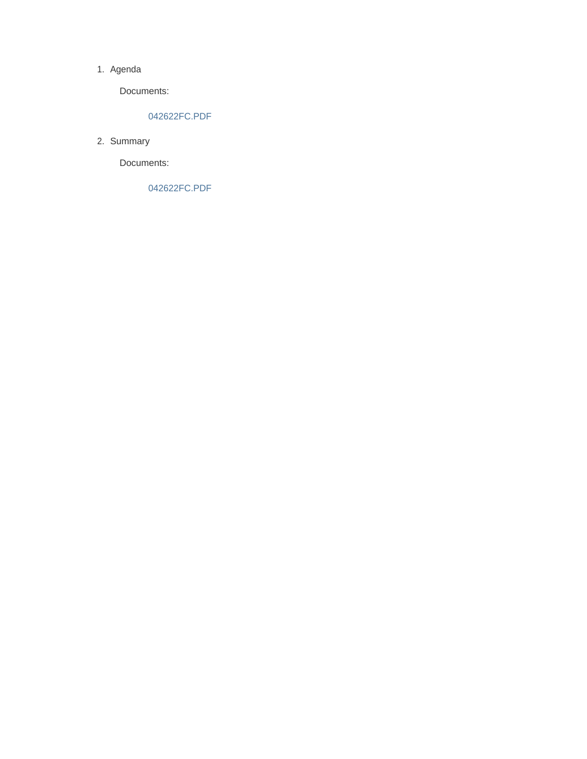#### 1. Agenda

Documents:

### 042622FC.PDF

2. Summary

Documents:

042622FC.PDF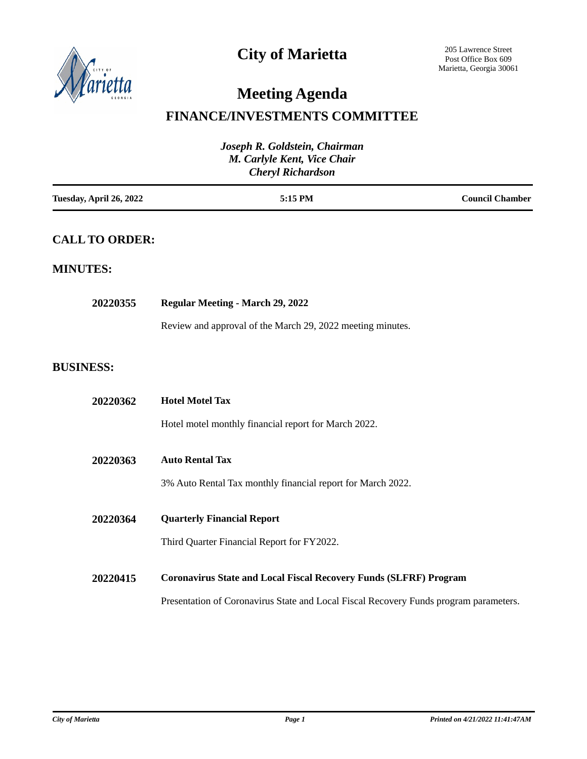

# **City of Marietta**

# **Meeting Agenda**

### **FINANCE/INVESTMENTS COMMITTEE**

| Joseph R. Goldstein, Chairman<br>M. Carlyle Kent, Vice Chair<br><b>Cheryl Richardson</b> |                                                                                       |  |
|------------------------------------------------------------------------------------------|---------------------------------------------------------------------------------------|--|
| Tuesday, April 26, 2022                                                                  | 5:15 PM<br><b>Council Chamber</b>                                                     |  |
| <b>CALL TO ORDER:</b>                                                                    |                                                                                       |  |
| <b>MINUTES:</b>                                                                          |                                                                                       |  |
| 20220355                                                                                 | Regular Meeting - March 29, 2022                                                      |  |
|                                                                                          | Review and approval of the March 29, 2022 meeting minutes.                            |  |
| <b>BUSINESS:</b>                                                                         |                                                                                       |  |
| 20220362                                                                                 | <b>Hotel Motel Tax</b>                                                                |  |
|                                                                                          | Hotel motel monthly financial report for March 2022.                                  |  |
| 20220363                                                                                 | <b>Auto Rental Tax</b>                                                                |  |
|                                                                                          | 3% Auto Rental Tax monthly financial report for March 2022.                           |  |
| 20220364                                                                                 | <b>Quarterly Financial Report</b>                                                     |  |
|                                                                                          | Third Quarter Financial Report for FY2022.                                            |  |
| 20220415                                                                                 | <b>Coronavirus State and Local Fiscal Recovery Funds (SLFRF) Program</b>              |  |
|                                                                                          | Presentation of Coronavirus State and Local Fiscal Recovery Funds program parameters. |  |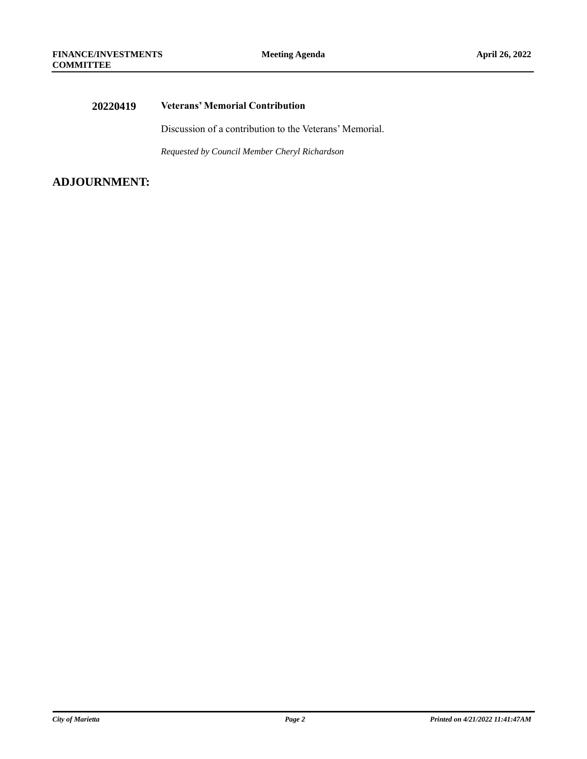### **20220419 Veterans' Memorial Contribution**

Discussion of a contribution to the Veterans' Memorial.

*Requested by Council Member Cheryl Richardson*

### **ADJOURNMENT:**